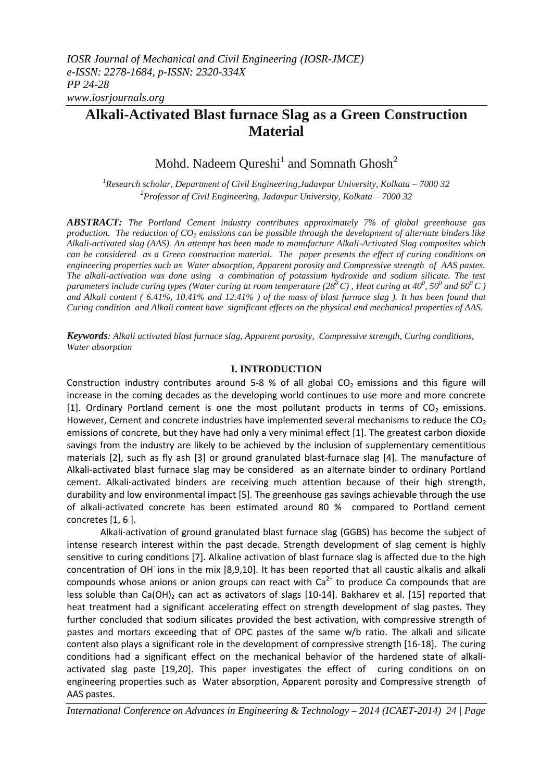# **Alkali-Activated Blast furnace Slag as a Green Construction Material**

Mohd. Nadeem Qureshi<sup>1</sup> and Somnath Ghosh<sup>2</sup>

*<sup>1</sup>Research scholar, Department of Civil Engineering,Jadavpur University, Kolkata – 7000 32 <sup>2</sup>Professor of Civil Engineering, Jadavpur University, Kolkata – 7000 32*

*ABSTRACT: The Portland Cement industry contributes approximately 7% of global greenhouse gas production. The reduction of CO<sup>2</sup> emissions can be possible through the development of alternate binders like Alkali-activated slag (AAS). An attempt has been made to manufacture Alkali-Activated Slag composites which can be considered as a Green construction material. The paper presents the effect of curing conditions on engineering properties such as Water absorption, Apparent porosity and Compressive strength of AAS pastes. The alkali-activation was done using a combination of potassium hydroxide and sodium silicate. The test parameters include curing types (Water curing at room temperature (28<sup>0</sup>C), Heat curing at 40<sup>0</sup>, 50<sup>0</sup> and 60<sup>0</sup>C) and Alkali content ( 6.41%, 10.41% and 12.41% ) of the mass of blast furnace slag ). It has been found that Curing condition and Alkali content have significant effects on the physical and mechanical properties of AAS.*

*Keywords: Alkali activated blast furnace slag, Apparent porosity, Compressive strength, Curing conditions, Water absorption*

#### **I. INTRODUCTION**

Construction industry contributes around  $5-8$  % of all global CO<sub>2</sub> emissions and this figure will increase in the coming decades as the developing world continues to use more and more concrete [1]. Ordinary Portland cement is one the most pollutant products in terms of  $CO<sub>2</sub>$  emissions. However, Cement and concrete industries have implemented several mechanisms to reduce the  $CO<sub>2</sub>$ emissions of concrete, but they have had only a very minimal effect [1]. The greatest carbon dioxide savings from the industry are likely to be achieved by the inclusion of supplementary cementitious materials [2], such as fly ash [3] or ground granulated blast-furnace slag [4]. The manufacture of Alkali-activated blast furnace slag may be considered as an alternate binder to ordinary Portland cement. Alkali-activated binders are receiving much attention because of their high strength, durability and low environmental impact [5]. The greenhouse gas savings achievable through the use of alkali-activated concrete has been estimated around 80 % compared to Portland cement concretes [1, 6 ].

Alkali-activation of ground granulated blast furnace slag (GGBS) has become the subject of intense research interest within the past decade. Strength development of slag cement is highly sensitive to curing conditions [7]. Alkaline activation of blast furnace slag is affected due to the high concentration of OH ions in the mix [8,9,10]. It has been reported that all caustic alkalis and alkali compounds whose anions or anion groups can react with  $Ca<sup>2+</sup>$  to produce Ca compounds that are less soluble than Ca(OH)<sub>2</sub> can act as activators of slags  $[10-14]$ . Bakharev et al.  $[15]$  reported that heat treatment had a significant accelerating effect on strength development of slag pastes. They further concluded that sodium silicates provided the best activation, with compressive strength of pastes and mortars exceeding that of OPC pastes of the same w/b ratio. The alkali and silicate content also plays a significant role in the development of compressive strength [16-18]. The curing conditions had a significant effect on the mechanical behavior of the hardened state of alkaliactivated slag paste [19,20]. This paper investigates the effect of curing conditions on on engineering properties such as Water absorption, Apparent porosity and Compressive strength of AAS pastes.

*International Conference on Advances in Engineering & Technology – 2014 (ICAET-2014) 24 | Page*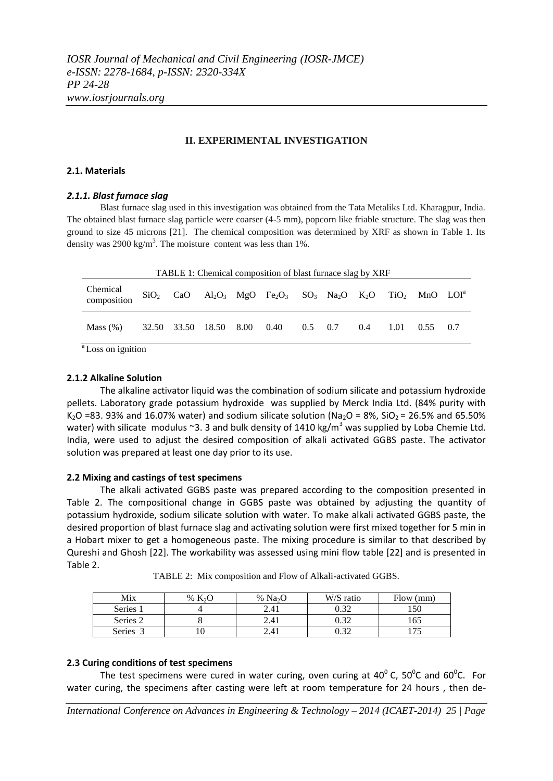*IOSR Journal of Mechanical and Civil Engineering (IOSR-JMCE) e-ISSN: 2278-1684, p-ISSN: 2320-334X PP 24-28 www.iosrjournals.org*

### **II. EXPERIMENTAL INVESTIGATION**

### **2.1. Materials**

### *2.1.1. Blast furnace slag*

Blast furnace slag used in this investigation was obtained from the Tata Metaliks Ltd. Kharagpur, India. The obtained blast furnace slag particle were coarser (4-5 mm), popcorn like friable structure. The slag was then ground to size 45 microns [21]. The chemical composition was determined by XRF as shown in Table 1. Its density was 2900 kg/m<sup>3</sup>. The moisture content was less than 1%.

| TABLE 1: Chemical composition of blast furnace slag by XRF |  |  |                             |  |                                                                                                                                                                        |                |  |     |      |            |  |
|------------------------------------------------------------|--|--|-----------------------------|--|------------------------------------------------------------------------------------------------------------------------------------------------------------------------|----------------|--|-----|------|------------|--|
| Chemical<br>composition                                    |  |  |                             |  | $SiO_2$ CaO Al <sub>2</sub> O <sub>3</sub> MgO Fe <sub>2</sub> O <sub>3</sub> SO <sub>3</sub> Na <sub>2</sub> O K <sub>2</sub> O TiO <sub>2</sub> MnO LOI <sup>a</sup> |                |  |     |      |            |  |
| Mass $(\%)$                                                |  |  | 32.50 33.50 18.50 8.00 0.40 |  |                                                                                                                                                                        | $0.5\quad 0.7$ |  | 0.4 | 1.01 | $0.55$ 0.7 |  |
| <sup>a</sup> Loss on ignition                              |  |  |                             |  |                                                                                                                                                                        |                |  |     |      |            |  |

<sup>a</sup>Loss on ignition

#### **2.1.2 Alkaline Solution**

The alkaline activator liquid was the combination of sodium silicate and potassium hydroxide pellets. Laboratory grade potassium hydroxide was supplied by Merck India Ltd. (84% purity with K<sub>2</sub>O =83. 93% and 16.07% water) and sodium silicate solution (Na<sub>2</sub>O = 8%, SiO<sub>2</sub> = 26.5% and 65.50% water) with silicate modulus ~3. 3 and bulk density of 1410 kg/m<sup>3</sup> was supplied by Loba Chemie Ltd. India, were used to adjust the desired composition of alkali activated GGBS paste. The activator solution was prepared at least one day prior to its use.

### **2.2 Mixing and castings of test specimens**

The alkali activated GGBS paste was prepared according to the composition presented in Table 2. The compositional change in GGBS paste was obtained by adjusting the quantity of potassium hydroxide, sodium silicate solution with water. To make alkali activated GGBS paste, the desired proportion of blast furnace slag and activating solution were first mixed together for 5 min in a Hobart mixer to get a homogeneous paste. The mixing procedure is similar to that described by Qureshi and Ghosh [22]. The workability was assessed using mini flow table [22] and is presented in Table 2.

| Mix      | $\%$ | % Na <sub>2</sub> O | W/S ratio | Flow (mm) |
|----------|------|---------------------|-----------|-----------|
| Series 1 |      | 2.41                | 0.32      | 150       |
| Series 2 |      | 2.41                | 0.32      |           |
| Series   |      | 2.41                | 0.32      |           |

TABLE 2: Mix composition and Flow of Alkali-activated GGBS.

### **2.3 Curing conditions of test specimens**

The test specimens were cured in water curing, oven curing at 40 $^0$  C, 50 $^0$ C and 60 $^0$ C. For water curing, the specimens after casting were left at room temperature for 24 hours , then de-

*International Conference on Advances in Engineering & Technology – 2014 (ICAET-2014) 25 | Page*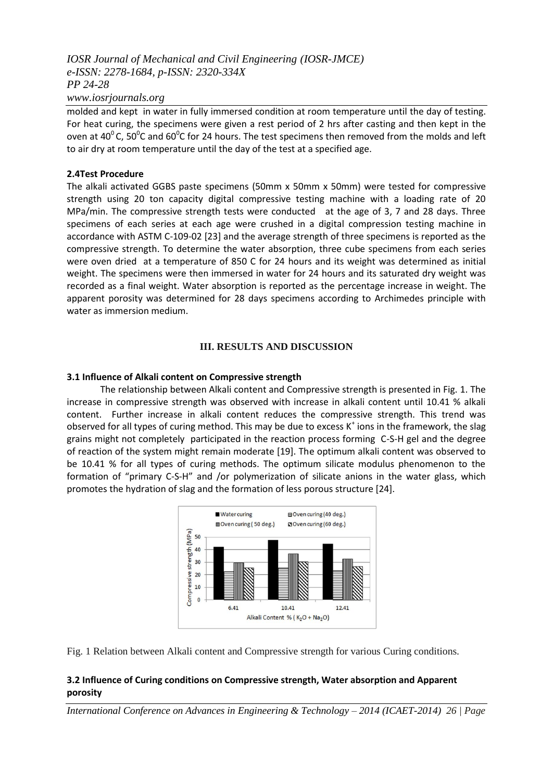### *IOSR Journal of Mechanical and Civil Engineering (IOSR-JMCE) e-ISSN: 2278-1684, p-ISSN: 2320-334X PP 24-28 www.iosrjournals.org*

molded and kept in water in fully immersed condition at room temperature until the day of testing. For heat curing, the specimens were given a rest period of 2 hrs after casting and then kept in the oven at 40<sup>°</sup>C, 50<sup>°</sup>C and 60<sup>°</sup>C for 24 hours. The test specimens then removed from the molds and left to air dry at room temperature until the day of the test at a specified age.

### **2.4Test Procedure**

The alkali activated GGBS paste specimens (50mm x 50mm x 50mm) were tested for compressive strength using 20 ton capacity digital compressive testing machine with a loading rate of 20 MPa/min. The compressive strength tests were conducted at the age of 3, 7 and 28 days. Three specimens of each series at each age were crushed in a digital compression testing machine in accordance with ASTM C-109-02 [23] and the average strength of three specimens is reported as the compressive strength. To determine the water absorption, three cube specimens from each series were oven dried at a temperature of 850 C for 24 hours and its weight was determined as initial weight. The specimens were then immersed in water for 24 hours and its saturated dry weight was recorded as a final weight. Water absorption is reported as the percentage increase in weight. The apparent porosity was determined for 28 days specimens according to Archimedes principle with water as immersion medium.

### **III. RESULTS AND DISCUSSION**

### **3.1 Influence of Alkali content on Compressive strength**

The relationship between Alkali content and Compressive strength is presented in Fig. 1. The increase in compressive strength was observed with increase in alkali content until 10.41 % alkali content. Further increase in alkali content reduces the compressive strength. This trend was observed for all types of curing method. This may be due to excess K<sup>+</sup> ions in the framework, the slag grains might not completely participated in the reaction process forming C-S-H gel and the degree of reaction of the system might remain moderate [19]. The optimum alkali content was observed to be 10.41 % for all types of curing methods. The optimum silicate modulus phenomenon to the formation of "primary C-S-H" and /or polymerization of silicate anions in the water glass, which promotes the hydration of slag and the formation of less porous structure [24].



Fig. 1 Relation between Alkali content and Compressive strength for various Curing conditions.

### **3.2 Influence of Curing conditions on Compressive strength, Water absorption and Apparent porosity**

*International Conference on Advances in Engineering & Technology – 2014 (ICAET-2014) 26 | Page*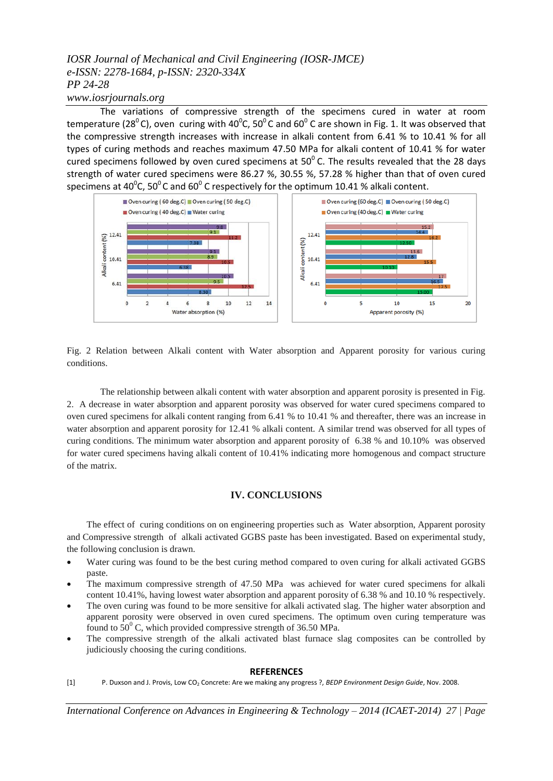## *IOSR Journal of Mechanical and Civil Engineering (IOSR-JMCE) e-ISSN: 2278-1684, p-ISSN: 2320-334X PP 24-28*

### *www.iosrjournals.org*

The variations of compressive strength of the specimens cured in water at room temperature (28<sup>0</sup>C), oven curing with 40<sup>o</sup>C, 50<sup>o</sup>C and 60<sup>o</sup>C are shown in Fig. 1. It was observed that the compressive strength increases with increase in alkali content from 6.41 % to 10.41 % for all types of curing methods and reaches maximum 47.50 MPa for alkali content of 10.41 % for water cured specimens followed by oven cured specimens at  $50^{\circ}$  C. The results revealed that the 28 days strength of water cured specimens were 86.27 %, 30.55 %, 57.28 % higher than that of oven cured specimens at 40<sup>o</sup>C, 50<sup>o</sup>C and 60<sup>o</sup>C respectively for the optimum 10.41 % alkali content.



Fig. 2 Relation between Alkali content with Water absorption and Apparent porosity for various curing conditions.

The relationship between alkali content with water absorption and apparent porosity is presented in Fig. 2. A decrease in water absorption and apparent porosity was observed for water cured specimens compared to oven cured specimens for alkali content ranging from 6.41 % to 10.41 % and thereafter, there was an increase in water absorption and apparent porosity for 12.41 % alkali content. A similar trend was observed for all types of curing conditions. The minimum water absorption and apparent porosity of 6.38 % and 10.10% was observed for water cured specimens having alkali content of 10.41% indicating more homogenous and compact structure of the matrix.

### **IV. CONCLUSIONS**

The effect of curing conditions on on engineering properties such as Water absorption, Apparent porosity and Compressive strength of alkali activated GGBS paste has been investigated. Based on experimental study, the following conclusion is drawn.

- Water curing was found to be the best curing method compared to oven curing for alkali activated GGBS paste.
- The maximum compressive strength of 47.50 MPa was achieved for water cured specimens for alkali content 10.41%, having lowest water absorption and apparent porosity of 6.38 % and 10.10 % respectively.
- The oven curing was found to be more sensitive for alkali activated slag. The higher water absorption and apparent porosity were observed in oven cured specimens. The optimum oven curing temperature was found to  $50^{\circ}$  C, which provided compressive strength of 36.50 MPa.
- The compressive strength of the alkali activated blast furnace slag composites can be controlled by judiciously choosing the curing conditions.

#### **REFERENCES**

[1] P. Duxson and J. Provis, Low CO<sup>2</sup> Concrete: Are we making any progress ?, *BEDP Environment Design Guide*, Nov. 2008.

*International Conference on Advances in Engineering & Technology – 2014 (ICAET-2014) 27 | Page*